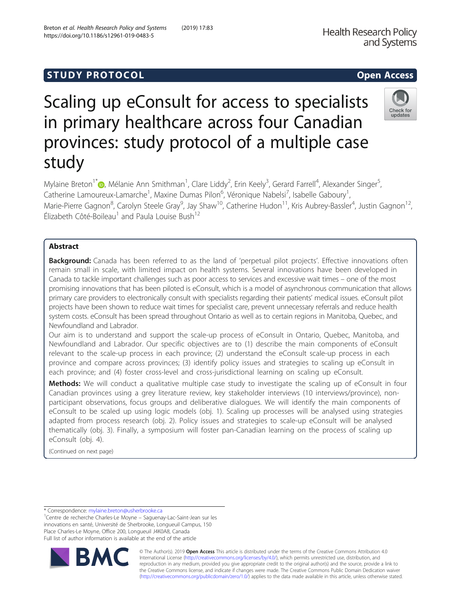## **STUDY PROTOCOL CONSUMING THE RESERVITION OPEN ACCESS**

# Scaling up eConsult for access to specialists in primary healthcare across four Canadian provinces: study protocol of a multiple case study

Mylaine Breton<sup>1[\\*](http://orcid.org/0000-0001-5713-9618)</sup> D, Mélanie Ann Smithman<sup>1</sup>, Clare Liddy<sup>2</sup>, Erin Keely<sup>3</sup>, Gerard Farrell<sup>4</sup>, Alexander Singer<sup>5</sup> , Catherine Lamoureux-Lamarche<sup>1</sup>, Maxine Dumas Pilon<sup>6</sup>, Véronique Nabelsi<sup>7</sup>, Isabelle Gaboury<sup>1</sup> , Marie-Pierre Gagnon<sup>8</sup>, Carolyn Steele Gray<sup>9</sup>, Jay Shaw<sup>10</sup>, Catherine Hudon<sup>11</sup>, Kris Aubrey-Bassler<sup>4</sup>, Justin Gagnon<sup>12</sup>, Élizabeth Côté-Boileau<sup>1</sup> and Paula Louise Bush<sup>12</sup>

## Abstract

Background: Canada has been referred to as the land of 'perpetual pilot projects'. Effective innovations often remain small in scale, with limited impact on health systems. Several innovations have been developed in Canada to tackle important challenges such as poor access to services and excessive wait times – one of the most promising innovations that has been piloted is eConsult, which is a model of asynchronous communication that allows primary care providers to electronically consult with specialists regarding their patients' medical issues. eConsult pilot projects have been shown to reduce wait times for specialist care, prevent unnecessary referrals and reduce health system costs. eConsult has been spread throughout Ontario as well as to certain regions in Manitoba, Quebec, and Newfoundland and Labrador.

Our aim is to understand and support the scale-up process of eConsult in Ontario, Quebec, Manitoba, and Newfoundland and Labrador. Our specific objectives are to (1) describe the main components of eConsult relevant to the scale-up process in each province; (2) understand the eConsult scale-up process in each province and compare across provinces; (3) identify policy issues and strategies to scaling up eConsult in each province; and (4) foster cross-level and cross-jurisdictional learning on scaling up eConsult.

Methods: We will conduct a qualitative multiple case study to investigate the scaling up of eConsult in four Canadian provinces using a grey literature review, key stakeholder interviews (10 interviews/province), nonparticipant observations, focus groups and deliberative dialogues. We will identify the main components of eConsult to be scaled up using logic models (obj. 1). Scaling up processes will be analysed using strategies adapted from process research (obj. 2). Policy issues and strategies to scale-up eConsult will be analysed thematically (obj. 3). Finally, a symposium will foster pan-Canadian learning on the process of scaling up eConsult (obj. 4).

(Continued on next page)

\* Correspondence: [mylaine.breton@usherbrooke.ca](mailto:mylaine.breton@usherbrooke.ca) <sup>1</sup>

© The Author(s). 2019 **Open Access** This article is distributed under the terms of the Creative Commons Attribution 4.0 International License [\(http://creativecommons.org/licenses/by/4.0/](http://creativecommons.org/licenses/by/4.0/)), which permits unrestricted use, distribution, and reproduction in any medium, provided you give appropriate credit to the original author(s) and the source, provide a link to the Creative Commons license, and indicate if changes were made. The Creative Commons Public Domain Dedication waiver [\(http://creativecommons.org/publicdomain/zero/1.0/](http://creativecommons.org/publicdomain/zero/1.0/)) applies to the data made available in this article, unless otherwise stated.







<sup>&</sup>lt;sup>1</sup>Centre de recherche Charles-Le Moyne – Saguenay-Lac-Saint-Jean sur les innovations en santé, Université de Sherbrooke, Longueuil Campus, 150 Place Charles-Le Moyne, Office 200, Longueuil J4K0A8, Canada Full list of author information is available at the end of the article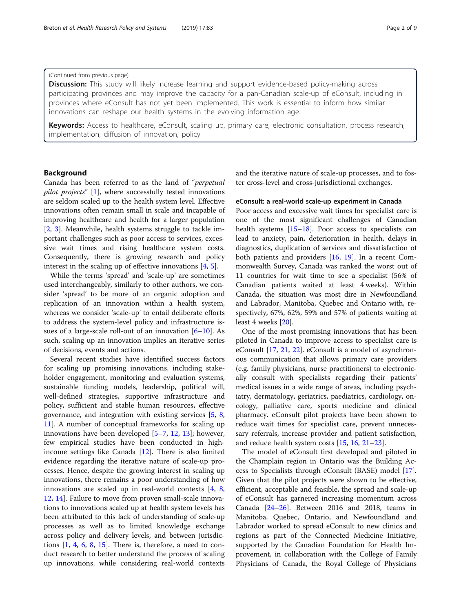## (Continued from previous page)

**Discussion:** This study will likely increase learning and support evidence-based policy-making across participating provinces and may improve the capacity for a pan-Canadian scale-up of eConsult, including in provinces where eConsult has not yet been implemented. This work is essential to inform how similar innovations can reshape our health systems in the evolving information age.

Keywords: Access to healthcare, eConsult, scaling up, primary care, electronic consultation, process research, implementation, diffusion of innovation, policy

## Background

Canada has been referred to as the land of "perpetual pilot projects" [[1](#page-7-0)], where successfully tested innovations are seldom scaled up to the health system level. Effective innovations often remain small in scale and incapable of improving healthcare and health for a larger population [[2,](#page-7-0) [3\]](#page-7-0). Meanwhile, health systems struggle to tackle important challenges such as poor access to services, excessive wait times and rising healthcare system costs. Consequently, there is growing research and policy interest in the scaling up of effective innovations [\[4](#page-7-0), [5](#page-7-0)].

While the terms 'spread' and 'scale-up' are sometimes used interchangeably, similarly to other authors, we consider 'spread' to be more of an organic adoption and replication of an innovation within a health system, whereas we consider 'scale-up' to entail deliberate efforts to address the system-level policy and infrastructure issues of a large-scale roll-out of an innovation  $[6–10]$  $[6–10]$  $[6–10]$  $[6–10]$  $[6–10]$ . As such, scaling up an innovation implies an iterative series of decisions, events and actions.

Several recent studies have identified success factors for scaling up promising innovations, including stakeholder engagement, monitoring and evaluation systems, sustainable funding models, leadership, political will, well-defined strategies, supportive infrastructure and policy, sufficient and stable human resources, effective governance, and integration with existing services [\[5](#page-7-0), [8](#page-7-0), [11\]](#page-7-0). A number of conceptual frameworks for scaling up innovations have been developed [\[5](#page-7-0)–[7](#page-7-0), [12](#page-7-0), [13\]](#page-7-0); however, few empirical studies have been conducted in highincome settings like Canada [[12\]](#page-7-0). There is also limited evidence regarding the iterative nature of scale-up processes. Hence, despite the growing interest in scaling up innovations, there remains a poor understanding of how innovations are scaled up in real-world contexts [[4,](#page-7-0) [8](#page-7-0), [12,](#page-7-0) [14\]](#page-7-0). Failure to move from proven small-scale innovations to innovations scaled up at health system levels has been attributed to this lack of understanding of scale-up processes as well as to limited knowledge exchange across policy and delivery levels, and between jurisdictions  $[1, 4, 6, 8, 15]$  $[1, 4, 6, 8, 15]$  $[1, 4, 6, 8, 15]$  $[1, 4, 6, 8, 15]$  $[1, 4, 6, 8, 15]$  $[1, 4, 6, 8, 15]$  $[1, 4, 6, 8, 15]$  $[1, 4, 6, 8, 15]$  $[1, 4, 6, 8, 15]$  $[1, 4, 6, 8, 15]$ . There is, therefore, a need to conduct research to better understand the process of scaling up innovations, while considering real-world contexts and the iterative nature of scale-up processes, and to foster cross-level and cross-jurisdictional exchanges.

### eConsult: a real-world scale-up experiment in Canada

Poor access and excessive wait times for specialist care is one of the most significant challenges of Canadian health systems [[15](#page-7-0)–[18](#page-7-0)]. Poor access to specialists can lead to anxiety, pain, deterioration in health, delays in diagnostics, duplication of services and dissatisfaction of both patients and providers [[16](#page-7-0), [19\]](#page-7-0). In a recent Commonwealth Survey, Canada was ranked the worst out of 11 countries for wait time to see a specialist (56% of Canadian patients waited at least 4 weeks). Within Canada, the situation was most dire in Newfoundland and Labrador, Manitoba, Quebec and Ontario with, respectively, 67%, 62%, 59% and 57% of patients waiting at least 4 weeks [\[20](#page-7-0)].

One of the most promising innovations that has been piloted in Canada to improve access to specialist care is eConsult [[17](#page-7-0), [21,](#page-7-0) [22\]](#page-7-0). eConsult is a model of asynchronous communication that allows primary care providers (e.g. family physicians, nurse practitioners) to electronically consult with specialists regarding their patients' medical issues in a wide range of areas, including psychiatry, dermatology, geriatrics, paediatrics, cardiology, oncology, palliative care, sports medicine and clinical pharmacy. eConsult pilot projects have been shown to reduce wait times for specialist care, prevent unnecessary referrals, increase provider and patient satisfaction, and reduce health system costs [\[15,](#page-7-0) [16,](#page-7-0) [21](#page-7-0)–[23\]](#page-7-0).

The model of eConsult first developed and piloted in the Champlain region in Ontario was the Building Access to Specialists through eConsult (BASE) model [\[17](#page-7-0)]. Given that the pilot projects were shown to be effective, efficient, acceptable and feasible, the spread and scale-up of eConsult has garnered increasing momentum across Canada  $[24-26]$  $[24-26]$  $[24-26]$ . Between 2016 and 2018, teams in Manitoba, Quebec, Ontario, and Newfoundland and Labrador worked to spread eConsult to new clinics and regions as part of the Connected Medicine Initiative, supported by the Canadian Foundation for Health Improvement, in collaboration with the College of Family Physicians of Canada, the Royal College of Physicians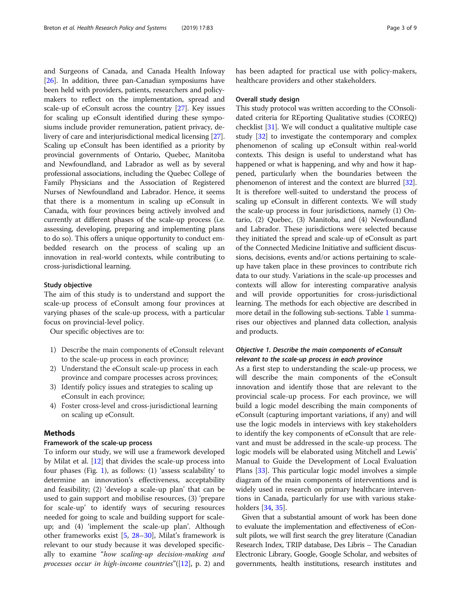and Surgeons of Canada, and Canada Health Infoway [[26\]](#page-7-0). In addition, three pan-Canadian symposiums have been held with providers, patients, researchers and policymakers to reflect on the implementation, spread and scale-up of eConsult across the country [\[27\]](#page-7-0). Key issues for scaling up eConsult identified during these symposiums include provider remuneration, patient privacy, delivery of care and interjurisdictional medical licensing [[27](#page-7-0)]. Scaling up eConsult has been identified as a priority by provincial governments of Ontario, Quebec, Manitoba and Newfoundland, and Labrador as well as by several professional associations, including the Quebec College of Family Physicians and the Association of Registered Nurses of Newfoundland and Labrador. Hence, it seems that there is a momentum in scaling up eConsult in Canada, with four provinces being actively involved and currently at different phases of the scale-up process (i.e. assessing, developing, preparing and implementing plans to do so). This offers a unique opportunity to conduct embedded research on the process of scaling up an innovation in real-world contexts, while contributing to cross-jurisdictional learning.

### Study objective

The aim of this study is to understand and support the scale-up process of eConsult among four provinces at varying phases of the scale-up process, with a particular focus on provincial-level policy.

Our specific objectives are to:

- 1) Describe the main components of eConsult relevant to the scale-up process in each province;
- 2) Understand the eConsult scale-up process in each province and compare processes across provinces;
- 3) Identify policy issues and strategies to scaling up eConsult in each province;
- 4) Foster cross-level and cross-jurisdictional learning on scaling up eConsult.

### Methods

## Framework of the scale-up process

To inform our study, we will use a framework developed by Milat et al. [[12\]](#page-7-0) that divides the scale-up process into four phases (Fig. [1](#page-3-0)), as follows: (1) 'assess scalability' to determine an innovation's effectiveness, acceptability and feasibility; (2) 'develop a scale-up plan' that can be used to gain support and mobilise resources, (3) 'prepare for scale-up' to identify ways of securing resources needed for going to scale and building support for scaleup; and (4) 'implement the scale-up plan'. Although other frameworks exist [\[5](#page-7-0), [28](#page-7-0)–[30\]](#page-7-0), Milat's framework is relevant to our study because it was developed specifically to examine "how scaling-up decision-making and processes occur in high-income countries" $([12], p. 2)$  $([12], p. 2)$  $([12], p. 2)$  and has been adapted for practical use with policy-makers, healthcare providers and other stakeholders.

### Overall study design

This study protocol was written according to the COnsolidated criteria for REporting Qualitative studies (COREQ) checklist [[31](#page-7-0)]. We will conduct a qualitative multiple case study [\[32\]](#page-7-0) to investigate the contemporary and complex phenomenon of scaling up eConsult within real-world contexts. This design is useful to understand what has happened or what is happening, and why and how it happened, particularly when the boundaries between the phenomenon of interest and the context are blurred [[32](#page-7-0)]. It is therefore well-suited to understand the process of scaling up eConsult in different contexts. We will study the scale-up process in four jurisdictions, namely (1) Ontario, (2) Quebec, (3) Manitoba, and (4) Newfoundland and Labrador. These jurisdictions were selected because they initiated the spread and scale-up of eConsult as part of the Connected Medicine Initiative and sufficient discussions, decisions, events and/or actions pertaining to scaleup have taken place in these provinces to contribute rich data to our study. Variations in the scale-up processes and contexts will allow for interesting comparative analysis and will provide opportunities for cross-jurisdictional learning. The methods for each objective are described in more detail in the following sub-sections. Table [1](#page-3-0) summarises our objectives and planned data collection, analysis and products.

## Objective 1. Describe the main components of eConsult relevant to the scale-up process in each province

As a first step to understanding the scale-up process, we will describe the main components of the eConsult innovation and identify those that are relevant to the provincial scale-up process. For each province, we will build a logic model describing the main components of eConsult (capturing important variations, if any) and will use the logic models in interviews with key stakeholders to identify the key components of eConsult that are relevant and must be addressed in the scale-up process. The logic models will be elaborated using Mitchell and Lewis' Manual to Guide the Development of Local Evaluation Plans [[33\]](#page-7-0). This particular logic model involves a simple diagram of the main components of interventions and is widely used in research on primary healthcare interventions in Canada, particularly for use with various stakeholders [[34,](#page-8-0) [35\]](#page-8-0).

Given that a substantial amount of work has been done to evaluate the implementation and effectiveness of eConsult pilots, we will first search the grey literature (Canadian Research Index, TRIP database, Des Libris – The Canadian Electronic Library, Google, Google Scholar, and websites of governments, health institutions, research institutes and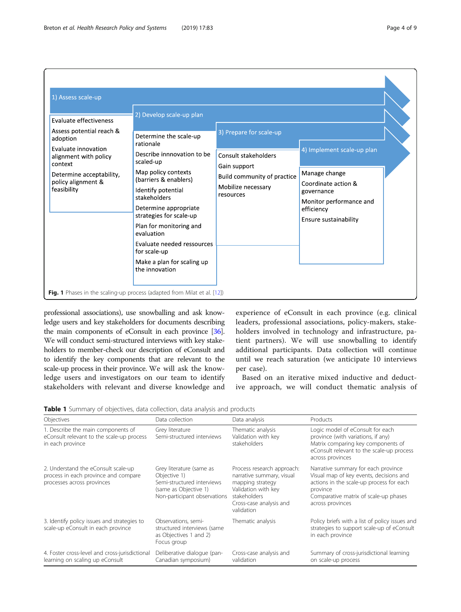<span id="page-3-0"></span>

| 3) Prepare for scale-up<br>Determine the scale-up<br>adoption<br>rationale<br>Evaluate innovation<br>4) Implement scale-up plan<br>Describe innnovation to be<br>Consult stakeholders<br>alignment with policy<br>scaled-up<br>context<br>Gain support<br>Map policy contexts<br>Manage change<br>Determine acceptability,<br>Build community of practice<br>(barriers & enablers)<br>policy alignment &<br>Coordinate action &<br>Mobilize necessary<br>feasibility<br>Identify potential<br>governance<br>resources<br>stakeholders<br>Monitor performance and<br>Determine appropriate<br>efficiency<br>strategies for scale-up<br>Ensure sustainability<br>Plan for monitoring and<br>evaluation<br>Evaluate needed ressources<br>for scale-up<br>Make a plan for scaling up<br>the innovation | 1) Assess scale-up<br>Evaluate effectiveness | 2) Develop scale-up plan |  |  |
|----------------------------------------------------------------------------------------------------------------------------------------------------------------------------------------------------------------------------------------------------------------------------------------------------------------------------------------------------------------------------------------------------------------------------------------------------------------------------------------------------------------------------------------------------------------------------------------------------------------------------------------------------------------------------------------------------------------------------------------------------------------------------------------------------|----------------------------------------------|--------------------------|--|--|
|                                                                                                                                                                                                                                                                                                                                                                                                                                                                                                                                                                                                                                                                                                                                                                                                    | Assess potential reach &                     |                          |  |  |

professional associations), use snowballing and ask knowledge users and key stakeholders for documents describing the main components of eConsult in each province [\[36](#page-8-0)]. We will conduct semi-structured interviews with key stakeholders to member-check our description of eConsult and to identify the key components that are relevant to the scale-up process in their province. We will ask the knowledge users and investigators on our team to identify stakeholders with relevant and diverse knowledge and experience of eConsult in each province (e.g. clinical leaders, professional associations, policy-makers, stakeholders involved in technology and infrastructure, patient partners). We will use snowballing to identify additional participants. Data collection will continue until we reach saturation (we anticipate 10 interviews per case).

Based on an iterative mixed inductive and deductive approach, we will conduct thematic analysis of

Table 1 Summary of objectives, data collection, data analysis and products

| Objectives                                                                                                | Data collection                                                                                                                 | Data analysis                                                                                                                                               | Products                                                                                                                                                                                            |
|-----------------------------------------------------------------------------------------------------------|---------------------------------------------------------------------------------------------------------------------------------|-------------------------------------------------------------------------------------------------------------------------------------------------------------|-----------------------------------------------------------------------------------------------------------------------------------------------------------------------------------------------------|
| 1. Describe the main components of<br>eConsult relevant to the scale-up process<br>in each province       | Grey literature<br>Semi-structured interviews                                                                                   | Thematic analysis<br>Validation with key<br>stakeholders                                                                                                    | Logic model of eConsult for each<br>province (with variations, if any)<br>Matrix comparing key components of<br>eConsult relevant to the scale-up process<br>across provinces                       |
| 2. Understand the eConsult scale-up<br>process in each province and compare<br>processes across provinces | Grey literature (same as<br>Objective 1)<br>Semi-structured interviews<br>(same as Objective 1)<br>Non-participant observations | Process research approach:<br>narrative summary, visual<br>mapping strategy<br>Validation with key<br>stakeholders<br>Cross-case analysis and<br>validation | Narrative summary for each province<br>Visual map of key events, decisions and<br>actions in the scale-up process for each<br>province<br>Comparative matrix of scale-up phases<br>across provinces |
| 3. Identify policy issues and strategies to<br>scale-up eConsult in each province                         | Observations, semi-<br>structured interviews (same<br>as Objectives 1 and 2)<br>Focus group                                     | Thematic analysis                                                                                                                                           | Policy briefs with a list of policy issues and<br>strategies to support scale-up of eConsult<br>in each province                                                                                    |
| 4. Foster cross-level and cross-jurisdictional<br>learning on scaling up eConsult                         | Deliberative dialogue (pan-<br>Canadian symposium)                                                                              | Cross-case analysis and<br>validation                                                                                                                       | Summary of cross-jurisdictional learning<br>on scale-up process                                                                                                                                     |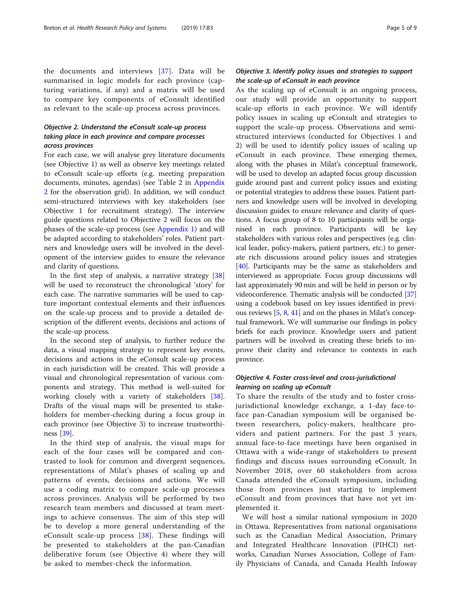the documents and interviews [[37](#page-8-0)]. Data will be summarised in logic models for each province (capturing variations, if any) and a matrix will be used to compare key components of eConsult identified as relevant to the scale-up process across provinces.

## Objective 2. Understand the eConsult scale-up process taking place in each province and compare processes across provinces

For each case, we will analyse grey literature documents (see Objective 1) as well as observe key meetings related to eConsult scale-up efforts (e.g. meeting preparation documents, minutes, agendas) (see Table 2 in Appendix 2 for the observation grid). In addition, we will conduct semi-structured interviews with key stakeholders (see Objective 1 for recruitment strategy). The interview guide questions related to Objective 2 will focus on the phases of the scale-up process (see [Appendix 1](#page-5-0)) and will be adapted according to stakeholders' roles. Patient partners and knowledge users will be involved in the development of the interview guides to ensure the relevance and clarity of questions.

In the first step of analysis, a narrative strategy [[38](#page-8-0)] will be used to reconstruct the chronological 'story' for each case. The narrative summaries will be used to capture important contextual elements and their influences on the scale-up process and to provide a detailed description of the different events, decisions and actions of the scale-up process.

In the second step of analysis, to further reduce the data, a visual mapping strategy to represent key events, decisions and actions in the eConsult scale-up process in each jurisdiction will be created. This will provide a visual and chronological representation of various components and strategy. This method is well-suited for working closely with a variety of stakeholders [\[38](#page-8-0)]. Drafts of the visual maps will be presented to stakeholders for member-checking during a focus group in each province (see Objective 3) to increase trustworthiness [\[39](#page-8-0)].

In the third step of analysis, the visual maps for each of the four cases will be compared and contrasted to look for common and divergent sequences, representations of Milat's phases of scaling up and patterns of events, decisions and actions. We will use a coding matrix to compare scale-up processes across provinces. Analysis will be performed by two research team members and discussed at team meetings to achieve consensus. The aim of this step will be to develop a more general understanding of the eConsult scale-up process [\[38\]](#page-8-0). These findings will be presented to stakeholders at the pan-Canadian deliberative forum (see Objective 4) where they will be asked to member-check the information.

## Objective 3. Identify policy issues and strategies to support the scale-up of eConsult in each province

As the scaling up of eConsult is an ongoing process, our study will provide an opportunity to support scale-up efforts in each province. We will identify policy issues in scaling up eConsult and strategies to support the scale-up process. Observations and semistructured interviews (conducted for Objectives 1 and 2) will be used to identify policy issues of scaling up eConsult in each province. These emerging themes, along with the phases in Milat's conceptual framework, will be used to develop an adapted focus group discussion guide around past and current policy issues and existing or potential strategies to address these issues. Patient partners and knowledge users will be involved in developing discussion guides to ensure relevance and clarity of questions. A focus group of 8 to 10 participants will be organised in each province. Participants will be key stakeholders with various roles and perspectives (e.g. clinical leader, policy-makers, patient partners, etc.) to generate rich discussions around policy issues and strategies [[40](#page-8-0)]. Participants may be the same as stakeholders and interviewed as appropriate. Focus group discussions will last approximately 90 min and will be held in person or by videoconference. Thematic analysis will be conducted [[37](#page-8-0)] using a codebook based on key issues identified in previous reviews [[5,](#page-7-0) [8](#page-7-0), [41\]](#page-8-0) and on the phases in Milat's conceptual framework. We will summarise our findings in policy briefs for each province. Knowledge users and patient partners will be involved in creating these briefs to improve their clarity and relevance to contexts in each province.

## Objective 4. Foster cross-level and cross-jurisdictional learning on scaling up eConsult

To share the results of the study and to foster crossjurisdictional knowledge exchange, a 1-day face-toface pan-Canadian symposium will be organised between researchers, policy-makers, healthcare providers and patient partners. For the past 3 years, annual face-to-face meetings have been organised in Ottawa with a wide-range of stakeholders to present findings and discuss issues surrounding eConsult. In November 2018, over 60 stakeholders from across Canada attended the eConsult symposium, including those from provinces just starting to implement eConsult and from provinces that have not yet implemented it.

We will host a similar national symposium in 2020 in Ottawa. Representatives from national organisations such as the Canadian Medical Association, Primary and Integrated Healthcare Innovation (PIHCI) networks, Canadian Nurses Association, College of Family Physicians of Canada, and Canada Health Infoway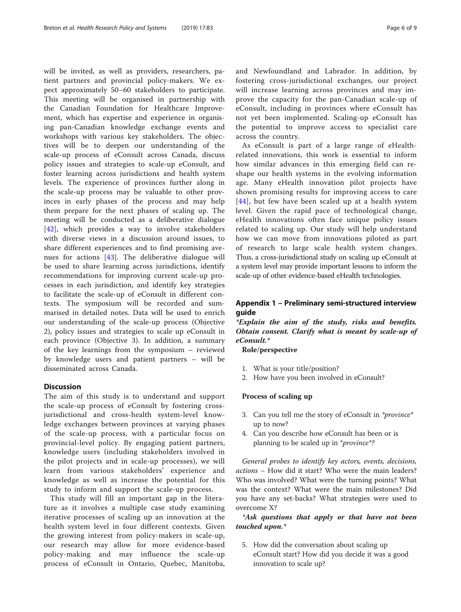<span id="page-5-0"></span>will be invited, as well as providers, researchers, patient partners and provincial policy-makers. We expect approximately 50–60 stakeholders to participate. This meeting will be organised in partnership with the Canadian Foundation for Healthcare Improvement, which has expertise and experience in organising pan-Canadian knowledge exchange events and workshops with various key stakeholders. The objectives will be to deepen our understanding of the scale-up process of eConsult across Canada, discuss policy issues and strategies to scale-up eConsult, and foster learning across jurisdictions and health system levels. The experience of provinces further along in the scale-up process may be valuable to other provinces in early phases of the process and may help them prepare for the next phases of scaling up. The meeting will be conducted as a deliberative dialogue [[42\]](#page-8-0), which provides a way to involve stakeholders with diverse views in a discussion around issues, to share different experiences and to find promising avenues for actions [[43\]](#page-8-0). The deliberative dialogue will be used to share learning across jurisdictions, identify recommendations for improving current scale-up processes in each jurisdiction, and identify key strategies to facilitate the scale-up of eConsult in different contexts. The symposium will be recorded and summarised in detailed notes. Data will be used to enrich our understanding of the scale-up process (Objective 2), policy issues and strategies to scale up eConsult in each province (Objective 3). In addition, a summary of the key learnings from the symposium – reviewed by knowledge users and patient partners – will be disseminated across Canada.

## **Discussion**

The aim of this study is to understand and support the scale-up process of eConsult by fostering crossjurisdictional and cross-health system-level knowledge exchanges between provinces at varying phases of the scale-up process, with a particular focus on provincial-level policy. By engaging patient partners, knowledge users (including stakeholders involved in the pilot projects and in scale-up processes), we will learn from various stakeholders' experience and knowledge as well as increase the potential for this study to inform and support the scale-up process.

This study will fill an important gap in the literature as it involves a multiple case study examining iterative processes of scaling up an innovation at the health system level in four different contexts. Given the growing interest from policy-makers in scale-up, our research may allow for more evidence-based policy-making and may influence the scale-up process of eConsult in Ontario, Quebec, Manitoba, and Newfoundland and Labrador. In addition, by fostering cross-jurisdictional exchanges, our project will increase learning across provinces and may improve the capacity for the pan-Canadian scale-up of eConsult, including in provinces where eConsult has not yet been implemented. Scaling-up eConsult has the potential to improve access to specialist care across the country.

As eConsult is part of a large range of eHealthrelated innovations, this work is essential to inform how similar advances in this emerging field can reshape our health systems in the evolving information age. Many eHealth innovation pilot projects have shown promising results for improving access to care [[44](#page-8-0)], but few have been scaled up at a health system level. Given the rapid pace of technological change, eHealth innovations often face unique policy issues related to scaling up. Our study will help understand how we can move from innovations piloted as part of research to large scale health system changes. Thus, a cross-jurisdictional study on scaling up eConsult at a system level may provide important lessons to inform the scale-up of other evidence-based eHealth technologies.

## Appendix 1 – Preliminary semi-structured interview guide

## \*Explain the aim of the study, risks and benefits. Obtain consent. Clarify what is meant by scale-up of eConsult.\*

Role/perspective

- 1. What is your title/position?
- 2. How have you been involved in eConsult?

### Process of scaling up

- 3. Can you tell me the story of eConsult in \*province\* up to now?
- 4. Can you describe how eConsult has been or is planning to be scaled up in \*province\*?

General probes to identify key actors, events, decisions, actions – How did it start? Who were the main leaders? Who was involved? What were the turning points? What was the context? What were the main milestones? Did you have any set-backs? What strategies were used to overcome X?

## \*Ask questions that apply or that have not been touched upon.\*

5. How did the conversation about scaling up eConsult start? How did you decide it was a good innovation to scale up?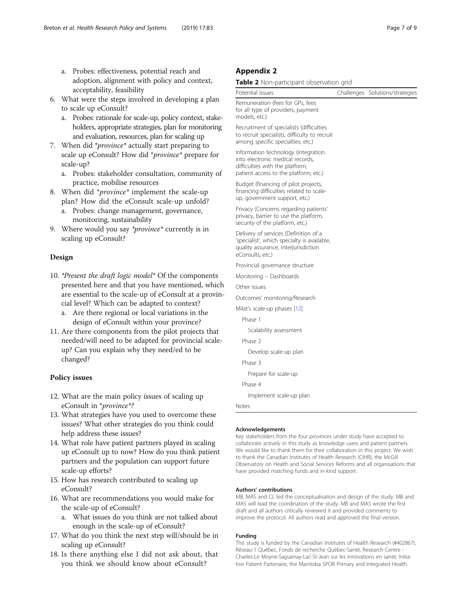- a. Probes: effectiveness, potential reach and adoption, alignment with policy and context, acceptability, feasibility
- 6. What were the steps involved in developing a plan to scale up eConsult?
	- a. Probes: rationale for scale-up, policy context, stakeholders, appropriate strategies, plan for monitoring and evaluation, resources, plan for scaling up
- 7. When did \*province\* actually start preparing to scale up eConsult? How did \*province\* prepare for scale-up?
	- a. Probes: stakeholder consultation, community of practice, mobilise resources
- 8. When did \*province\* implement the scale-up plan? How did the eConsult scale-up unfold?
	- a. Probes: change management, governance, monitoring, sustainability
- 9. Where would you say *\*province*\* currently is in scaling up eConsult?

## $\overline{\phantom{a}}$

- 10. \*Present the draft logic model\* Of the components presented here and that you have mentioned, which are essential to the scale-up of eConsult at a provincial level? Which can be adapted to context?
	- a. Are there regional or local variations in the design of eConsult within your province?
- 11. Are there components from the pilot projects that needed/will need to be adapted for provincial scaleup? Can you explain why they need/ed to be changed?

## Policy issues

- 12. What are the main policy issues of scaling up eConsult in \*province\*?
- 13. What strategies have you used to overcome these issues? What other strategies do you think could help address these issues?
- 14. What role have patient partners played in scaling up eConsult up to now? How do you think patient partners and the population can support future scale-up efforts?
- 15. How has research contributed to scaling up eConsult?
- 16. What are recommendations you would make for the scale-up of eConsult?
	- a. What issues do you think are not talked about enough in the scale-up of eConsult?
- 17. What do you think the next step will/should be in scaling up eConsult?
- 18. Is there anything else I did not ask about, that you think we should know about eConsult?

## Appendix 2

### Table 2 Non-participant observation grid

| Potential issues                                                                                                                                    |                                               | Challenges Solutions/strategies |
|-----------------------------------------------------------------------------------------------------------------------------------------------------|-----------------------------------------------|---------------------------------|
| Remuneration (fees for GPs, fees<br>for all type of providers, payment<br>models, etc.)                                                             |                                               |                                 |
| Recruitment of specialists (difficulties<br>among specific specialties, etc.)                                                                       | to recruit specialists, difficulty to recruit |                                 |
| Information technology (integration<br>into electronic medical records,<br>difficulties with the platform,<br>patient access to the platform, etc.) |                                               |                                 |
| Budget (financing of pilot projects,<br>financing difficulties related to scale-<br>up, government support, etc.)                                   |                                               |                                 |
| Privacy (Concerns regarding patients'<br>privacy, barrier to use the platform,<br>security of the platform, etc.)                                   |                                               |                                 |
| Delivery of services (Definition of a<br>'specialist', which specialty is available,<br>quality assurance, interjurisdiction<br>eConsults, etc.)    |                                               |                                 |
| Provincial governance structure                                                                                                                     |                                               |                                 |
| Monitoring – Dashboards                                                                                                                             |                                               |                                 |
| Other issues                                                                                                                                        |                                               |                                 |
| Outcomes' monitoring/Research                                                                                                                       |                                               |                                 |
| Milat's scale-up phases [12]                                                                                                                        |                                               |                                 |
| Phase 1                                                                                                                                             |                                               |                                 |
| Scalability assessment                                                                                                                              |                                               |                                 |
| Phase 2                                                                                                                                             |                                               |                                 |
| Develop scale-up plan                                                                                                                               |                                               |                                 |
| Phase 3                                                                                                                                             |                                               |                                 |
| Prepare for scale-up                                                                                                                                |                                               |                                 |
| Phase 4                                                                                                                                             |                                               |                                 |
| Implement scale-up plan                                                                                                                             |                                               |                                 |
| <b>Notes</b>                                                                                                                                        |                                               |                                 |

### Acknowledgements

Key stakeholders from the four provinces under study have accepted to collaborate actively in this study as knowledge users and patient partners. We would like to thank them for their collaboration in this project. We wish to thank the Canadian Institutes of Health Research (CIHR), the McGill Observatory on Health and Social Services Reforms and all organisations that have provided matching funds and in-kind support.

### Authors' contributions

MB, MAS and CL led the conceptualisation and design of the study. MB and MAS will lead the coordination of the study. MB and MAS wrote the first draft and all authors critically reviewed it and provided comments to improve the protocol. All authors read and approved the final version.

### Funding

This study is funded by the Canadian Institutes of Health Research (#402867), Réseau-1 Québec, Fonds de recherche Québec-Santé, Research Centre - Charles-Le Moyne-Saguenay-Lac-St-Jean sur les innovations en santé, Initiative Patient Partenaire, the Manitoba SPOR Primary and Integrated Health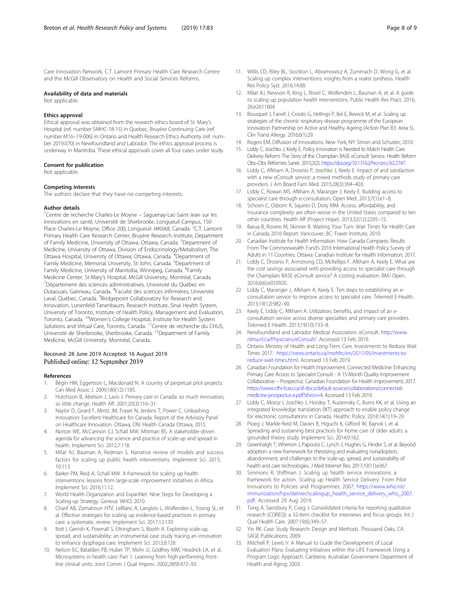<span id="page-7-0"></span>Care Innovation Network, C.T. Lamont Primary Health Care Research Centre and the McGill Observatory on Health and Social Services Reforms.

### Availability of data and materials

Not applicable.

### Ethics approval

Ethical approval was obtained from the research ethics board of St. Mary's Hospital (ref. number SMHC-18-15) in Quebec, Bruyère Continuing Care (ref. number M16–19-006) in Ontario and Health Research Ethics Authority (ref. number 2019.070) in Newfoundland and Labrador. The ethics approval process is underway in Manitoba. These ethical approvals cover all four cases under study.

### Consent for publication

Not applicable.

### Competing interests

The authors declare that they have no competing interests.

### Author details

<sup>1</sup>Centre de recherche Charles-Le Moyne – Saguenay-Lac-Saint-Jean sur les innovations en santé, Université de Sherbrooke, Longueuil Campus, 150 Place Charles-Le Moyne, Office 200, Longueuil J4K0A8, Canada. <sup>2</sup>C.T. Lamont Primary Health Care Research Center, Bruyère Research Institute, Department of Family Medicine, University of Ottawa, Ottawa, Canada. <sup>3</sup>Department of Medicine, University of Ottawa, Division of Endocrinology/Metabolism, The Ottawa Hospital, University of Ottawa, Ottawa, Canada. <sup>4</sup> Department of Family Medicine, Memorial University, St-John, Canada. <sup>5</sup>Department of Family Medicine, University of Manitoba, Winnipeg, Canada. <sup>6</sup>Family Medicine Center, St-Mary's Hospital, McGill University, Montréal, Canada. <sup>7</sup> Département des sciences administratives, Université du Québec en Outaouais, Gatineau, Canada. <sup>8</sup>Faculté des sciences infirmières, Université Laval, Québec, Canada. <sup>9</sup>Bridgepoint Collaboratory for Research and Innovation, Lunenfeld-Tanenbaum, Research Institute, Sinai Health System, University of Toronto, Institute of Health Policy, Management and Evaluation, Toronto, Canada. <sup>10</sup>Women's College Hospital, Institute for Health System Solutions and Virtual Care, Toronto, Canada. <sup>11</sup>Centre de recherche du CHUS, Université de Sherbrooke, Sherbrooke, Canada. 12Department of Family Medicine, McGill University, Montréal, Canada.

### Received: 28 June 2019 Accepted: 16 August 2019 Published online: 12 September 2019

### References

- Bégin HM, Eggertson L, Macdonald N. A country of perpetual pilot projects. Can Med Assoc J. 2009;180(12):1185.
- 2. Hutchison B, Abelson J, Lavis J. Primary care in Canada: so much innovation, so little change. Health Aff. 2001;20(3):116–31.
- 3. Naylor D, Girard F, Mintz JM, Fraser N, Jenkins T, Power C. Unleashing Innovation: Excellent Healthcare for Canada: Report of the Advisory Panel on Healthcare Innovation. Ottawa, ON: Health Canada Ottawa; 2015.
- 4. Norton WE, McCannon CJ, Schall MW, Mittman BS. A stakeholder-driven agenda for advancing the science and practice of scale-up and spread in health. Implement Sci. 2012;7:118.
- Milat AJ, Bauman A, Redman S. Narrative review of models and success factors for scaling up public health interventions. Implement Sci. 2015; 10:113.
- 6. Barker PM, Reid A, Schall MW. A framework for scaling up health interventions: lessons from large-scale improvement initiatives in Africa. Implement Sci. 2016;11:12.
- 7. World Health Organization and ExpanNet. Nine Steps for Developing a Scaling-up Strategy. Geneva: WHO; 2010.
- 8. Charif AB, Zomahoun HTV, LeBlanc A, Langlois L, Wolfenden L, Yoong SL, et al. Effective strategies for scaling up evidence-based practices in primary care: a systematic review. Implement Sci. 2017;12:139.
- 9. Ilott I, Gerrish K, Pownall S, Eltringham S, Booth A. Exploring scale-up, spread, and sustainability: an instrumental case study tracing an innovation to enhance dysphagia care. Implement Sci. 2013;8:128.
- 10. Nelson EC, Batalden PB, Huber TP, Mohr JJ, Godfrey MM, Headrick LA, et al. Microsystems in health care: Part 1. Learning from high-performing frontline clinical units. Joint Comm J Qual Improv. 2002;28(9):472–93.
- 11. Willis CD, Riley BL, Stockton L, Abramowicz A, Zummach D, Wong G, et al. Scaling up complex interventions: insights from a realist synthesis. Health Res Policy Syst. 2016;14:88.
- 12. Milat AJ, Newson R, King L, Rissel C, Wolfenden L, Bauman A, et al. A guide to scaling up population health interventions. Public Health Res Pract. 2016; 26:e2611604.
- 13. Bousquet J, Farrell J, Crooks G, Hellings P, Bel E, Bewick M, et al. Scaling up strategies of the chronic respiratory disease programme of the European Innovation Partnership on Active and Healthy Ageing (Action Plan B3: Area 5). Clin Transl Allergy. 2016;6(1):29.
- 14. Rogers EM. Diffusion of Innovations. New York, NY: Simon and Schuster; 2010.
- 15. Liddy C, Joschko J, Keely E. Policy Innovation is Needed to Match Health Care Delivery Reform: The Story of the Champlain BASE eConsult Service. Health Reform Obs–Obs Réformes Santé. 2015;3(2). [https://doi.org/10.13162/hro-ors.v3i2.2747.](https://doi.org/10.13162/hro-ors.v3i2.2747)
- 16. Liddy C, Afkham A, Drosinis P, Joschko J, Keely E. Impact of and satisfaction with a new eConsult service: a mixed methods study of primary care providers. J Am Board Fam Med. 2015;28(3):394–403.
- 17. Liddy C, Rowan MS, Afkham A, Maranger J, Keely E. Building access to specialist care through e-consultation. Open Med. 2013;7(1):e1–8.
- 18. Schoen C, Osborn R, Squires D, Doty MM. Access, affordability, and insurance complexity are often worse in the United States compared to ten other countries. Health Aff (Project Hope). 2013;32(12):2205–15.
- 19. Barua B, Rovere M, Skinner B. Waiting Your Turn: Wait Times for Health Care in Canada 2010 Report. Vancouver, BC: Fraser Institute; 2010.
- 20. Canadian Institute for Health Information. How Canada Compares: Results From The Commonwealth Fund's 2016 International Health Policy Survey of Adults in 11 Countries. Ottawa: Canadian Institute for Health Information; 2017.
- 21. Liddy C, Drosinis P, Armstrong CD, McKellips F, Afkham A, Keely E. What are the cost savings associated with providing access to specialist care through the Champlain BASE eConsult service? A costing evaluation. BMJ Open. 2016;6(6):e010920.
- 22. Liddy C, Maranger J, Afkham A, Keely E. Ten steps to establishing an econsultation service to improve access to specialist care. Telemed E-Health. 2013;19(12):982–90.
- 23. Keely E, Liddy C, Afkham A. Utilization, benefits, and impact of an econsultation service across diverse specialties and primary care providers. Telemed E-Health. 2013;19(10):733–8.
- 24. Newfoundland and Labrador Medical Association. eConsult. [http://www.](http://www.nlma.nl.ca/Physicians/eConsult/) [nlma.nl.ca/Physicians/eConsult/.](http://www.nlma.nl.ca/Physicians/eConsult/) Accessed 13 Feb 2019.
- 25. Ontario Ministry of Health and Long-Term Care. Investments to Reduce Wait Times 2017. [https://news.ontario.ca/mohltc/en/2017/05/investments-to](https://news.ontario.ca/mohltc/en/2017/05/investments-to-reduce-wait-times.html)[reduce-wait-times.html](https://news.ontario.ca/mohltc/en/2017/05/investments-to-reduce-wait-times.html). Accessed 13 Feb 2019.
- 26. Canadian Foundation for Health Improvement. Connected Medicine: Enhancing Primary Care Access to Specialist Consult - A 15-Month Quality Improvement Collaborative – Prospectus: Canadian Foundation for Health Improvement; 2017. [https://www.cfhi-fcass.ca/sf-docs/default-source/collaborations/connected](https://www.cfhi-fcass.ca/sf-docs/default-source/collaborations/connected-medicine-prospectus-e.pdf?sfvrsn=4)[medicine-prospectus-e.pdf?sfvrsn=4.](https://www.cfhi-fcass.ca/sf-docs/default-source/collaborations/connected-medicine-prospectus-e.pdf?sfvrsn=4) Accessed 13 Feb 2019.
- 27. Liddy C, Moroz I, Joschko J, Horsley T, Kuziemsky C, Burns KK, et al. Using an integrated knowledge translation (IKT) approach to enable policy change for electronic consultations in Canada. Healthc Policy. 2018;14(1):19–29.
- 28. Ploeg J, Markle-Reid M, Davies B, Higuchi K, Gifford W, Bajnok I, et al. Spreading and sustaining best practices for home care of older adults: a grounded theory study. Implement Sci. 2014;9:162.
- 29. Greenhalgh T, Wherton J, Papoutsi C, Lynch J, Hughes G, Hinder S, et al. Beyond adoption: a new framework for theorizing and evaluating nonadoption, abandonment, and challenges to the scale-up, spread, and sustainability of health and care technologies. J Med Internet Res. 2017;19(11):e367.
- 30. Simmons R, Shiffman J. Scaling up health service innovations: a framework for action. Scaling up Health Service Delivery: From Pilot Innivations to Policies and Programmes. 2007; [https://www.who.int/](https://www.who.int/immunization/hpv/deliver/scalingup_health_service_delivery_who_2007.pdf) [immunization/hpv/deliver/scalingup\\_health\\_service\\_delivery\\_who\\_2007.](https://www.who.int/immunization/hpv/deliver/scalingup_health_service_delivery_who_2007.pdf) [pdf.](https://www.who.int/immunization/hpv/deliver/scalingup_health_service_delivery_who_2007.pdf) Accessed 29 Aug 2019.
- 31. Tong A, Sainsbury P, Craig J. Consolidated criteria for reporting qualitative research (COREQ): a 32-item checklist for interviews and focus groups. Int J Qual Health Care. 2007;19(6):349–57.
- 32. Yin RK. Case Study Research: Design and Methods. Thousand Oaks, CA: SAGE Publications; 2009.
- 33. Mitchell P, Lewis V. A Manual to Guide the Development of Local Evaluation Plans: Evaluating Initiatives within the LIFE Framework Using a Program Logic Approach. Canberra: Australian Government Department of Health and Aging; 2003.